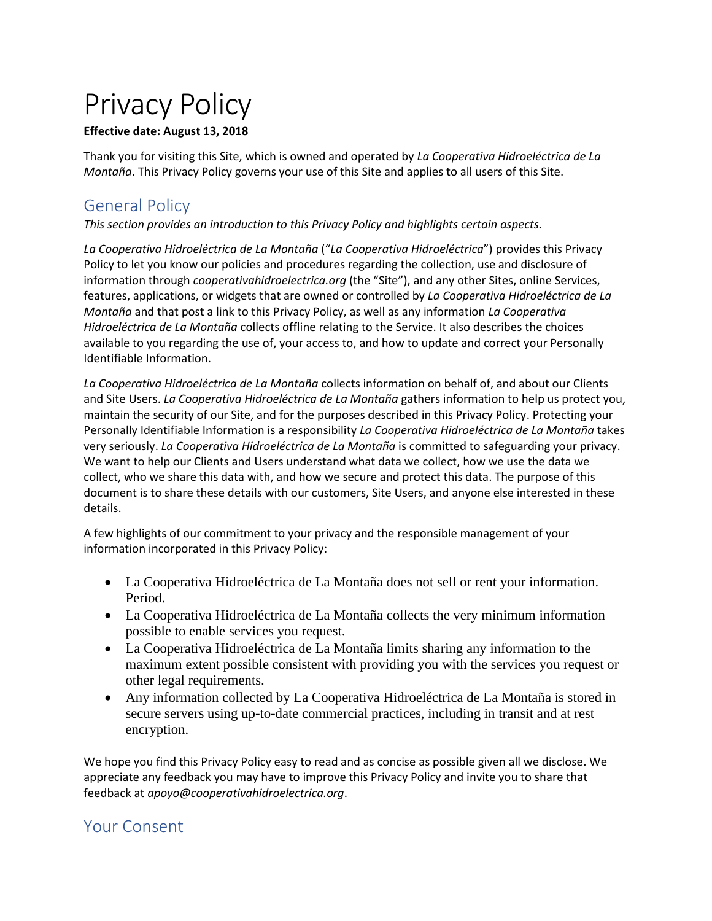# Privacy Policy

#### **Effective date: August 13, 2018**

Thank you for visiting this Site, which is owned and operated by *La Cooperativa Hidroeléctrica de La Montaña*. This Privacy Policy governs your use of this Site and applies to all users of this Site.

# General Policy

*This section provides an introduction to this Privacy Policy and highlights certain aspects.*

*La Cooperativa Hidroeléctrica de La Montaña* ("*La Cooperativa Hidroeléctrica*") provides this Privacy Policy to let you know our policies and procedures regarding the collection, use and disclosure of information through *cooperativahidroelectrica.org* (the "Site"), and any other Sites, online Services, features, applications, or widgets that are owned or controlled by *La Cooperativa Hidroeléctrica de La Montaña* and that post a link to this Privacy Policy, as well as any information *La Cooperativa Hidroeléctrica de La Montaña* collects offline relating to the Service. It also describes the choices available to you regarding the use of, your access to, and how to update and correct your Personally Identifiable Information.

*La Cooperativa Hidroeléctrica de La Montaña* collects information on behalf of, and about our Clients and Site Users. *La Cooperativa Hidroeléctrica de La Montaña* gathers information to help us protect you, maintain the security of our Site, and for the purposes described in this Privacy Policy. Protecting your Personally Identifiable Information is a responsibility *La Cooperativa Hidroeléctrica de La Montaña* takes very seriously. *La Cooperativa Hidroeléctrica de La Montaña* is committed to safeguarding your privacy. We want to help our Clients and Users understand what data we collect, how we use the data we collect, who we share this data with, and how we secure and protect this data. The purpose of this document is to share these details with our customers, Site Users, and anyone else interested in these details.

A few highlights of our commitment to your privacy and the responsible management of your information incorporated in this Privacy Policy:

- La Cooperativa Hidroeléctrica de La Montaña does not sell or rent your information. Period.
- La Cooperativa Hidroeléctrica de La Montaña collects the very minimum information possible to enable services you request.
- La Cooperativa Hidroeléctrica de La Montaña limits sharing any information to the maximum extent possible consistent with providing you with the services you request or other legal requirements.
- Any information collected by La Cooperativa Hidroeléctrica de La Montaña is stored in secure servers using up-to-date commercial practices, including in transit and at rest encryption.

We hope you find this Privacy Policy easy to read and as concise as possible given all we disclose. We appreciate any feedback you may have to improve this Privacy Policy and invite you to share that feedback at *apoyo@cooperativahidroelectrica.org*.

## Your Consent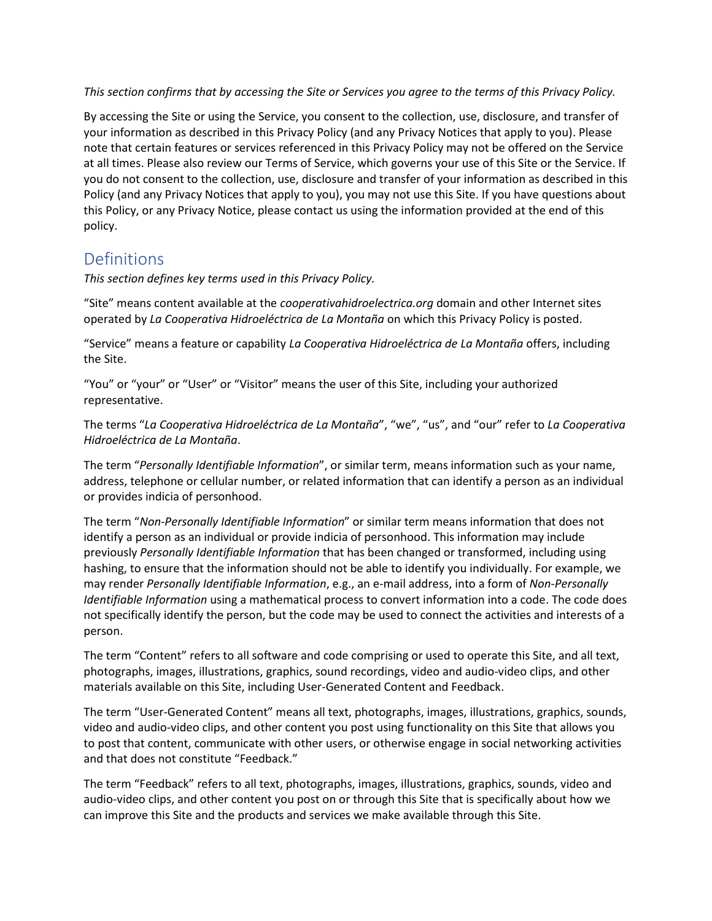*This section confirms that by accessing the Site or Services you agree to the terms of this Privacy Policy.*

By accessing the Site or using the Service, you consent to the collection, use, disclosure, and transfer of your information as described in this Privacy Policy (and any Privacy Notices that apply to you). Please note that certain features or services referenced in this Privacy Policy may not be offered on the Service at all times. Please also review our Terms of Service, which governs your use of this Site or the Service. If you do not consent to the collection, use, disclosure and transfer of your information as described in this Policy (and any Privacy Notices that apply to you), you may not use this Site. If you have questions about this Policy, or any Privacy Notice, please contact us using the information provided at the end of this policy.

#### Definitions

*This section defines key terms used in this Privacy Policy.*

"Site" means content available at the *cooperativahidroelectrica.org* domain and other Internet sites operated by *La Cooperativa Hidroeléctrica de La Montaña* on which this Privacy Policy is posted.

"Service" means a feature or capability *La Cooperativa Hidroeléctrica de La Montaña* offers, including the Site.

"You" or "your" or "User" or "Visitor" means the user of this Site, including your authorized representative.

The terms "*La Cooperativa Hidroeléctrica de La Montaña*", "we", "us", and "our" refer to *La Cooperativa Hidroeléctrica de La Montaña*.

The term "*Personally Identifiable Information*", or similar term, means information such as your name, address, telephone or cellular number, or related information that can identify a person as an individual or provides indicia of personhood.

The term "*Non-Personally Identifiable Information*" or similar term means information that does not identify a person as an individual or provide indicia of personhood. This information may include previously *Personally Identifiable Information* that has been changed or transformed, including using hashing, to ensure that the information should not be able to identify you individually. For example, we may render *Personally Identifiable Information*, e.g., an e-mail address, into a form of *Non-Personally Identifiable Information* using a mathematical process to convert information into a code. The code does not specifically identify the person, but the code may be used to connect the activities and interests of a person.

The term "Content" refers to all software and code comprising or used to operate this Site, and all text, photographs, images, illustrations, graphics, sound recordings, video and audio-video clips, and other materials available on this Site, including User-Generated Content and Feedback.

The term "User-Generated Content" means all text, photographs, images, illustrations, graphics, sounds, video and audio-video clips, and other content you post using functionality on this Site that allows you to post that content, communicate with other users, or otherwise engage in social networking activities and that does not constitute "Feedback."

The term "Feedback" refers to all text, photographs, images, illustrations, graphics, sounds, video and audio-video clips, and other content you post on or through this Site that is specifically about how we can improve this Site and the products and services we make available through this Site.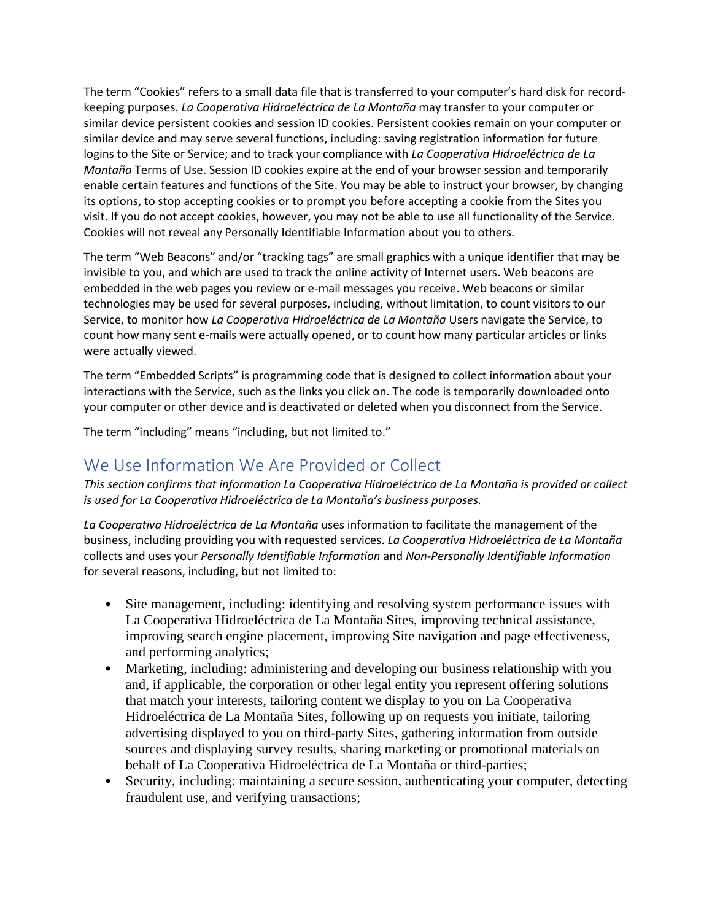The term "Cookies" refers to a small data file that is transferred to your computer's hard disk for recordkeeping purposes. *La Cooperativa Hidroeléctrica de La Montaña* may transfer to your computer or similar device persistent cookies and session ID cookies. Persistent cookies remain on your computer or similar device and may serve several functions, including: saving registration information for future logins to the Site or Service; and to track your compliance with *La Cooperativa Hidroeléctrica de La Montaña* Terms of Use. Session ID cookies expire at the end of your browser session and temporarily enable certain features and functions of the Site. You may be able to instruct your browser, by changing its options, to stop accepting cookies or to prompt you before accepting a cookie from the Sites you visit. If you do not accept cookies, however, you may not be able to use all functionality of the Service. Cookies will not reveal any Personally Identifiable Information about you to others.

The term "Web Beacons" and/or "tracking tags" are small graphics with a unique identifier that may be invisible to you, and which are used to track the online activity of Internet users. Web beacons are embedded in the web pages you review or e-mail messages you receive. Web beacons or similar technologies may be used for several purposes, including, without limitation, to count visitors to our Service, to monitor how *La Cooperativa Hidroeléctrica de La Montaña* Users navigate the Service, to count how many sent e-mails were actually opened, or to count how many particular articles or links were actually viewed.

The term "Embedded Scripts" is programming code that is designed to collect information about your interactions with the Service, such as the links you click on. The code is temporarily downloaded onto your computer or other device and is deactivated or deleted when you disconnect from the Service.

The term "including" means "including, but not limited to."

#### We Use Information We Are Provided or Collect

*This section confirms that information La Cooperativa Hidroeléctrica de La Montaña is provided or collect is used for La Cooperativa Hidroeléctrica de La Montaña's business purposes.*

*La Cooperativa Hidroeléctrica de La Montaña* uses information to facilitate the management of the business, including providing you with requested services. *La Cooperativa Hidroeléctrica de La Montaña* collects and uses your *Personally Identifiable Information* and *Non-Personally Identifiable Information* for several reasons, including, but not limited to:

- Site management, including: identifying and resolving system performance issues with La Cooperativa Hidroeléctrica de La Montaña Sites, improving technical assistance, improving search engine placement, improving Site navigation and page effectiveness, and performing analytics;
- Marketing, including: administering and developing our business relationship with you and, if applicable, the corporation or other legal entity you represent offering solutions that match your interests, tailoring content we display to you on La Cooperativa Hidroeléctrica de La Montaña Sites, following up on requests you initiate, tailoring advertising displayed to you on third-party Sites, gathering information from outside sources and displaying survey results, sharing marketing or promotional materials on behalf of La Cooperativa Hidroeléctrica de La Montaña or third-parties;
- Security, including: maintaining a secure session, authenticating your computer, detecting fraudulent use, and verifying transactions;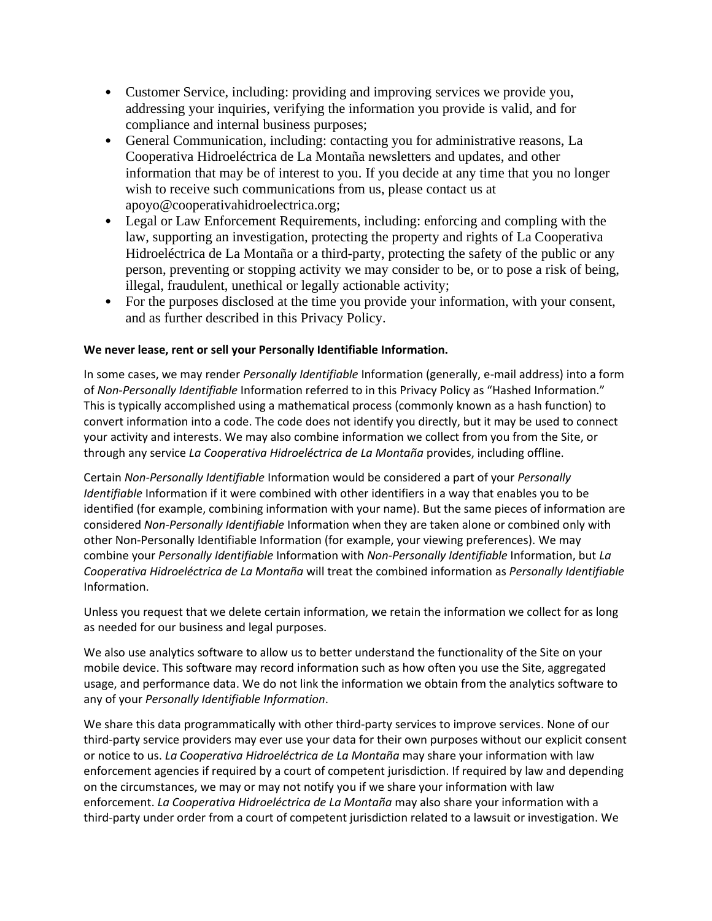- Customer Service, including: providing and improving services we provide you, addressing your inquiries, verifying the information you provide is valid, and for compliance and internal business purposes;
- General Communication, including: contacting you for administrative reasons, La Cooperativa Hidroeléctrica de La Montaña newsletters and updates, and other information that may be of interest to you. If you decide at any time that you no longer wish to receive such communications from us, please contact us at apoyo@cooperativahidroelectrica.org;
- Legal or Law Enforcement Requirements, including: enforcing and compling with the law, supporting an investigation, protecting the property and rights of La Cooperativa Hidroeléctrica de La Montaña or a third-party, protecting the safety of the public or any person, preventing or stopping activity we may consider to be, or to pose a risk of being, illegal, fraudulent, unethical or legally actionable activity;
- For the purposes disclosed at the time you provide your information, with your consent, and as further described in this Privacy Policy.

#### **We never lease, rent or sell your Personally Identifiable Information.**

In some cases, we may render *Personally Identifiable* Information (generally, e-mail address) into a form of *Non-Personally Identifiable* Information referred to in this Privacy Policy as "Hashed Information." This is typically accomplished using a mathematical process (commonly known as a hash function) to convert information into a code. The code does not identify you directly, but it may be used to connect your activity and interests. We may also combine information we collect from you from the Site, or through any service *La Cooperativa Hidroeléctrica de La Montaña* provides, including offline.

Certain *Non-Personally Identifiable* Information would be considered a part of your *Personally Identifiable* Information if it were combined with other identifiers in a way that enables you to be identified (for example, combining information with your name). But the same pieces of information are considered *Non-Personally Identifiable* Information when they are taken alone or combined only with other Non-Personally Identifiable Information (for example, your viewing preferences). We may combine your *Personally Identifiable* Information with *Non-Personally Identifiable* Information, but *La Cooperativa Hidroeléctrica de La Montaña* will treat the combined information as *Personally Identifiable* Information.

Unless you request that we delete certain information, we retain the information we collect for as long as needed for our business and legal purposes.

We also use analytics software to allow us to better understand the functionality of the Site on your mobile device. This software may record information such as how often you use the Site, aggregated usage, and performance data. We do not link the information we obtain from the analytics software to any of your *Personally Identifiable Information*.

We share this data programmatically with other third-party services to improve services. None of our third-party service providers may ever use your data for their own purposes without our explicit consent or notice to us. *La Cooperativa Hidroeléctrica de La Montaña* may share your information with law enforcement agencies if required by a court of competent jurisdiction. If required by law and depending on the circumstances, we may or may not notify you if we share your information with law enforcement. *La Cooperativa Hidroeléctrica de La Montaña* may also share your information with a third-party under order from a court of competent jurisdiction related to a lawsuit or investigation. We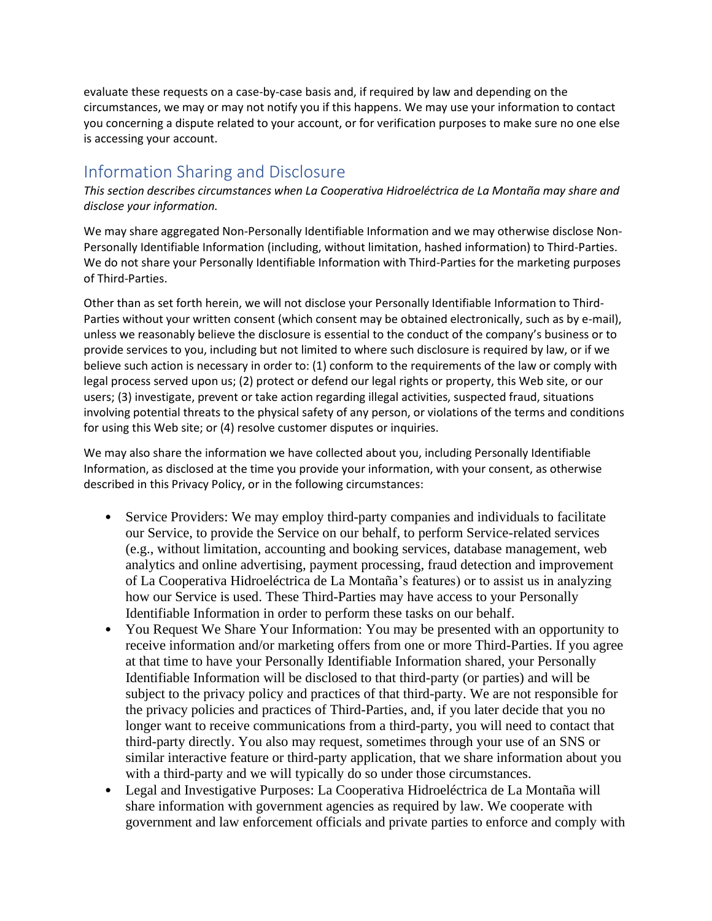evaluate these requests on a case-by-case basis and, if required by law and depending on the circumstances, we may or may not notify you if this happens. We may use your information to contact you concerning a dispute related to your account, or for verification purposes to make sure no one else is accessing your account.

## Information Sharing and Disclosure

*This section describes circumstances when La Cooperativa Hidroeléctrica de La Montaña may share and disclose your information.*

We may share aggregated Non-Personally Identifiable Information and we may otherwise disclose Non-Personally Identifiable Information (including, without limitation, hashed information) to Third-Parties. We do not share your Personally Identifiable Information with Third-Parties for the marketing purposes of Third-Parties.

Other than as set forth herein, we will not disclose your Personally Identifiable Information to Third-Parties without your written consent (which consent may be obtained electronically, such as by e-mail), unless we reasonably believe the disclosure is essential to the conduct of the company's business or to provide services to you, including but not limited to where such disclosure is required by law, or if we believe such action is necessary in order to: (1) conform to the requirements of the law or comply with legal process served upon us; (2) protect or defend our legal rights or property, this Web site, or our users; (3) investigate, prevent or take action regarding illegal activities, suspected fraud, situations involving potential threats to the physical safety of any person, or violations of the terms and conditions for using this Web site; or (4) resolve customer disputes or inquiries.

We may also share the information we have collected about you, including Personally Identifiable Information, as disclosed at the time you provide your information, with your consent, as otherwise described in this Privacy Policy, or in the following circumstances:

- Service Providers: We may employ third-party companies and individuals to facilitate our Service, to provide the Service on our behalf, to perform Service-related services (e.g., without limitation, accounting and booking services, database management, web analytics and online advertising, payment processing, fraud detection and improvement of La Cooperativa Hidroeléctrica de La Montaña's features) or to assist us in analyzing how our Service is used. These Third-Parties may have access to your Personally Identifiable Information in order to perform these tasks on our behalf.
- You Request We Share Your Information: You may be presented with an opportunity to receive information and/or marketing offers from one or more Third-Parties. If you agree at that time to have your Personally Identifiable Information shared, your Personally Identifiable Information will be disclosed to that third-party (or parties) and will be subject to the privacy policy and practices of that third-party. We are not responsible for the privacy policies and practices of Third-Parties, and, if you later decide that you no longer want to receive communications from a third-party, you will need to contact that third-party directly. You also may request, sometimes through your use of an SNS or similar interactive feature or third-party application, that we share information about you with a third-party and we will typically do so under those circumstances.
- Legal and Investigative Purposes: La Cooperativa Hidroeléctrica de La Montaña will share information with government agencies as required by law. We cooperate with government and law enforcement officials and private parties to enforce and comply with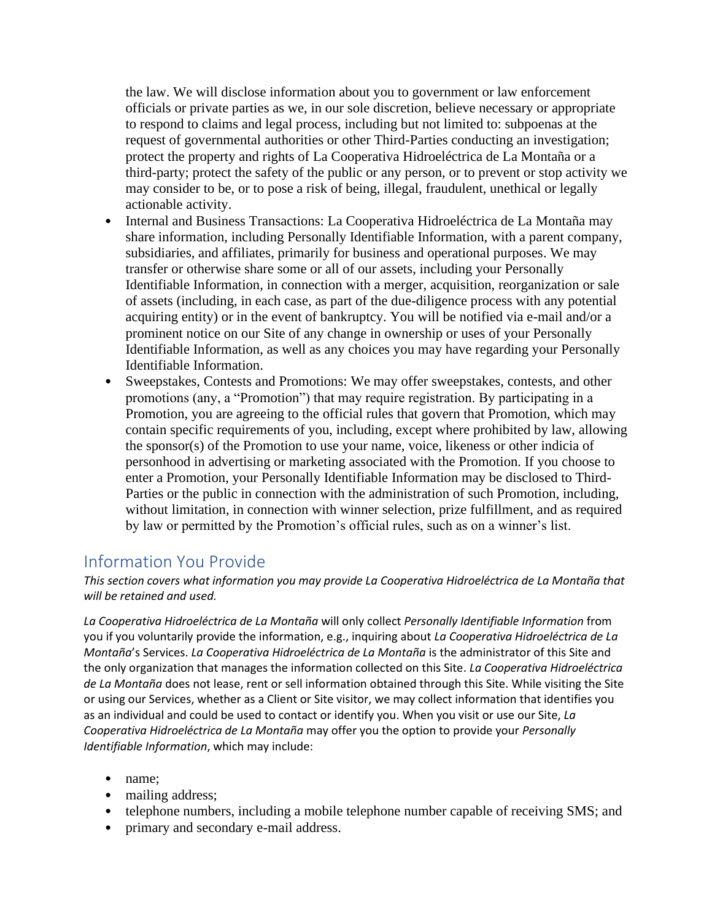the law. We will disclose information about you to government or law enforcement officials or private parties as we, in our sole discretion, believe necessary or appropriate to respond to claims and legal process, including but not limited to: subpoenas at the request of governmental authorities or other Third-Parties conducting an investigation; protect the property and rights of La Cooperativa Hidroeléctrica de La Montaña or a third-party; protect the safety of the public or any person, or to prevent or stop activity we may consider to be, or to pose a risk of being, illegal, fraudulent, unethical or legally actionable activity.

- Internal and Business Transactions: La Cooperativa Hidroeléctrica de La Montaña may share information, including Personally Identifiable Information, with a parent company, subsidiaries, and affiliates, primarily for business and operational purposes. We may transfer or otherwise share some or all of our assets, including your Personally Identifiable Information, in connection with a merger, acquisition, reorganization or sale of assets (including, in each case, as part of the due-diligence process with any potential acquiring entity) or in the event of bankruptcy. You will be notified via e-mail and/or a prominent notice on our Site of any change in ownership or uses of your Personally Identifiable Information, as well as any choices you may have regarding your Personally Identifiable Information.
- Sweepstakes, Contests and Promotions: We may offer sweepstakes, contests, and other promotions (any, a "Promotion") that may require registration. By participating in a Promotion, you are agreeing to the official rules that govern that Promotion, which may contain specific requirements of you, including, except where prohibited by law, allowing the sponsor(s) of the Promotion to use your name, voice, likeness or other indicia of personhood in advertising or marketing associated with the Promotion. If you choose to enter a Promotion, your Personally Identifiable Information may be disclosed to Third-Parties or the public in connection with the administration of such Promotion, including, without limitation, in connection with winner selection, prize fulfillment, and as required by law or permitted by the Promotion's official rules, such as on a winner's list.

## Information You Provide

*This section covers what information you may provide La Cooperativa Hidroeléctrica de La Montaña that will be retained and used.*

*La Cooperativa Hidroeléctrica de La Montaña* will only collect *Personally Identifiable Information* from you if you voluntarily provide the information, e.g., inquiring about *La Cooperativa Hidroeléctrica de La Montaña*'s Services. *La Cooperativa Hidroeléctrica de La Montaña* is the administrator of this Site and the only organization that manages the information collected on this Site. *La Cooperativa Hidroeléctrica de La Montaña* does not lease, rent or sell information obtained through this Site. While visiting the Site or using our Services, whether as a Client or Site visitor, we may collect information that identifies you as an individual and could be used to contact or identify you. When you visit or use our Site, *La Cooperativa Hidroeléctrica de La Montaña* may offer you the option to provide your *Personally Identifiable Information*, which may include:

- name;
- mailing address;
- telephone numbers, including a mobile telephone number capable of receiving SMS; and
- primary and secondary e-mail address.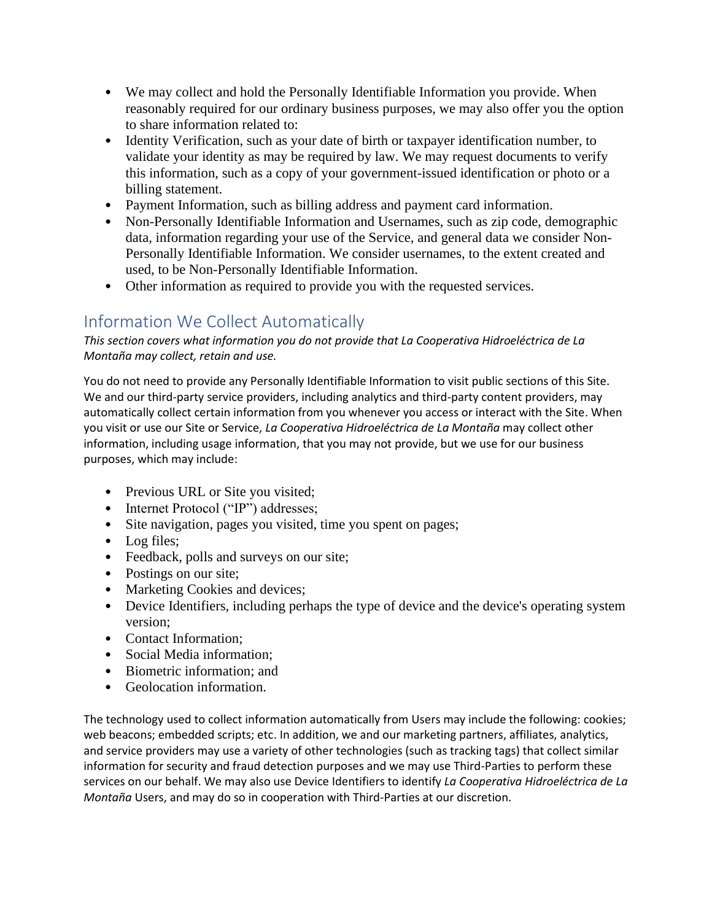- We may collect and hold the Personally Identifiable Information you provide. When reasonably required for our ordinary business purposes, we may also offer you the option to share information related to:
- Identity Verification, such as your date of birth or taxpayer identification number, to validate your identity as may be required by law. We may request documents to verify this information, such as a copy of your government-issued identification or photo or a billing statement.
- Payment Information, such as billing address and payment card information.
- Non-Personally Identifiable Information and Usernames, such as zip code, demographic data, information regarding your use of the Service, and general data we consider Non-Personally Identifiable Information. We consider usernames, to the extent created and used, to be Non-Personally Identifiable Information.
- Other information as required to provide you with the requested services.

# Information We Collect Automatically

*This section covers what information you do not provide that La Cooperativa Hidroeléctrica de La Montaña may collect, retain and use.*

You do not need to provide any Personally Identifiable Information to visit public sections of this Site. We and our third-party service providers, including analytics and third-party content providers, may automatically collect certain information from you whenever you access or interact with the Site. When you visit or use our Site or Service, *La Cooperativa Hidroeléctrica de La Montaña* may collect other information, including usage information, that you may not provide, but we use for our business purposes, which may include:

- Previous URL or Site you visited;
- Internet Protocol ("IP") addresses;
- Site navigation, pages you visited, time you spent on pages;
- Log files;
- Feedback, polls and surveys on our site;
- Postings on our site;
- Marketing Cookies and devices;
- Device Identifiers, including perhaps the type of device and the device's operating system version;
- Contact Information:
- Social Media information;
- Biometric information; and
- Geolocation information.

The technology used to collect information automatically from Users may include the following: cookies; web beacons; embedded scripts; etc. In addition, we and our marketing partners, affiliates, analytics, and service providers may use a variety of other technologies (such as tracking tags) that collect similar information for security and fraud detection purposes and we may use Third-Parties to perform these services on our behalf. We may also use Device Identifiers to identify *La Cooperativa Hidroeléctrica de La Montaña* Users, and may do so in cooperation with Third-Parties at our discretion.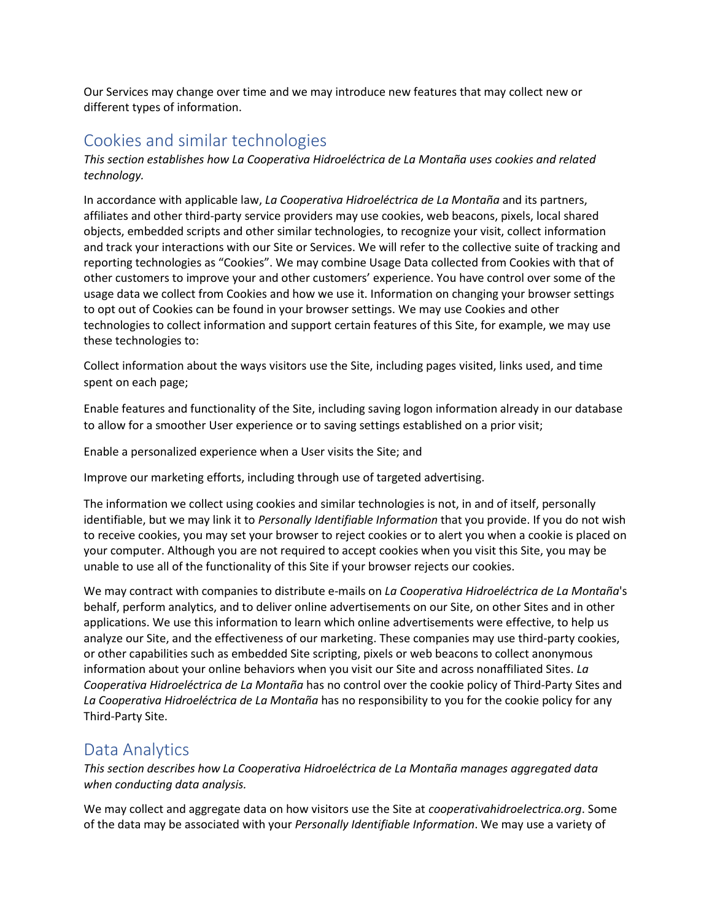Our Services may change over time and we may introduce new features that may collect new or different types of information.

#### Cookies and similar technologies

*This section establishes how La Cooperativa Hidroeléctrica de La Montaña uses cookies and related technology.*

In accordance with applicable law, *La Cooperativa Hidroeléctrica de La Montaña* and its partners, affiliates and other third-party service providers may use cookies, web beacons, pixels, local shared objects, embedded scripts and other similar technologies, to recognize your visit, collect information and track your interactions with our Site or Services. We will refer to the collective suite of tracking and reporting technologies as "Cookies". We may combine Usage Data collected from Cookies with that of other customers to improve your and other customers' experience. You have control over some of the usage data we collect from Cookies and how we use it. Information on changing your browser settings to opt out of Cookies can be found in your browser settings. We may use Cookies and other technologies to collect information and support certain features of this Site, for example, we may use these technologies to:

Collect information about the ways visitors use the Site, including pages visited, links used, and time spent on each page;

Enable features and functionality of the Site, including saving logon information already in our database to allow for a smoother User experience or to saving settings established on a prior visit;

Enable a personalized experience when a User visits the Site; and

Improve our marketing efforts, including through use of targeted advertising.

The information we collect using cookies and similar technologies is not, in and of itself, personally identifiable, but we may link it to *Personally Identifiable Information* that you provide. If you do not wish to receive cookies, you may set your browser to reject cookies or to alert you when a cookie is placed on your computer. Although you are not required to accept cookies when you visit this Site, you may be unable to use all of the functionality of this Site if your browser rejects our cookies.

We may contract with companies to distribute e-mails on *La Cooperativa Hidroeléctrica de La Montaña*'s behalf, perform analytics, and to deliver online advertisements on our Site, on other Sites and in other applications. We use this information to learn which online advertisements were effective, to help us analyze our Site, and the effectiveness of our marketing. These companies may use third-party cookies, or other capabilities such as embedded Site scripting, pixels or web beacons to collect anonymous information about your online behaviors when you visit our Site and across nonaffiliated Sites. *La Cooperativa Hidroeléctrica de La Montaña* has no control over the cookie policy of Third-Party Sites and *La Cooperativa Hidroeléctrica de La Montaña* has no responsibility to you for the cookie policy for any Third-Party Site.

#### Data Analytics

*This section describes how La Cooperativa Hidroeléctrica de La Montaña manages aggregated data when conducting data analysis.*

We may collect and aggregate data on how visitors use the Site at *cooperativahidroelectrica.org*. Some of the data may be associated with your *Personally Identifiable Information*. We may use a variety of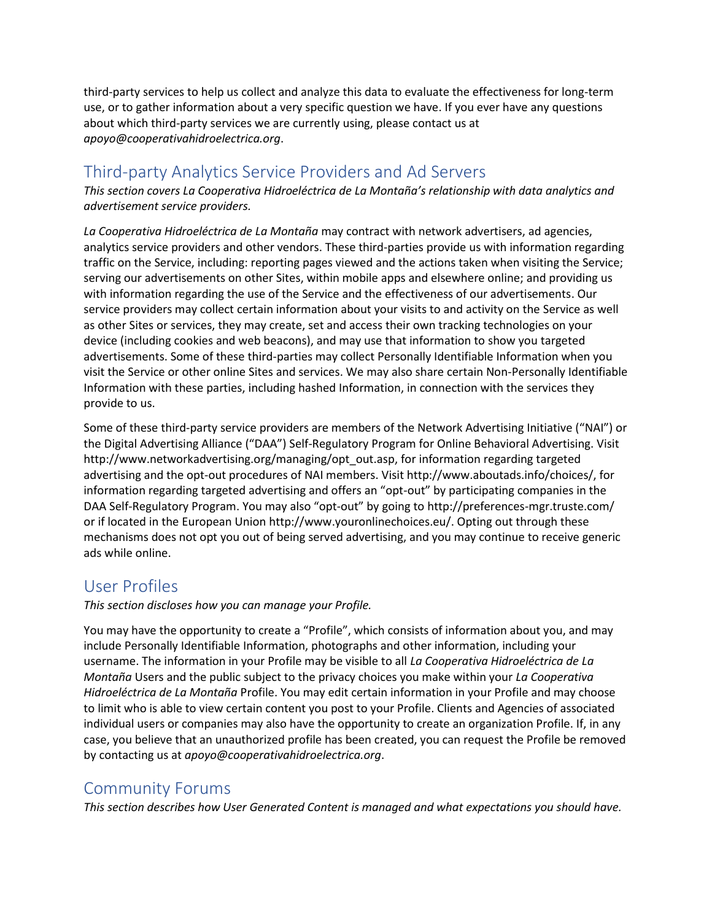third-party services to help us collect and analyze this data to evaluate the effectiveness for long-term use, or to gather information about a very specific question we have. If you ever have any questions about which third-party services we are currently using, please contact us at *apoyo@cooperativahidroelectrica.org*.

## Third-party Analytics Service Providers and Ad Servers

*This section covers La Cooperativa Hidroeléctrica de La Montaña's relationship with data analytics and advertisement service providers.*

*La Cooperativa Hidroeléctrica de La Montaña* may contract with network advertisers, ad agencies, analytics service providers and other vendors. These third-parties provide us with information regarding traffic on the Service, including: reporting pages viewed and the actions taken when visiting the Service; serving our advertisements on other Sites, within mobile apps and elsewhere online; and providing us with information regarding the use of the Service and the effectiveness of our advertisements. Our service providers may collect certain information about your visits to and activity on the Service as well as other Sites or services, they may create, set and access their own tracking technologies on your device (including cookies and web beacons), and may use that information to show you targeted advertisements. Some of these third-parties may collect Personally Identifiable Information when you visit the Service or other online Sites and services. We may also share certain Non-Personally Identifiable Information with these parties, including hashed Information, in connection with the services they provide to us.

Some of these third-party service providers are members of the Network Advertising Initiative ("NAI") or the Digital Advertising Alliance ("DAA") Self-Regulatory Program for Online Behavioral Advertising. Visit http://www.networkadvertising.org/managing/opt\_out.asp, for information regarding targeted advertising and the opt-out procedures of NAI members. Visit http://www.aboutads.info/choices/, for information regarding targeted advertising and offers an "opt-out" by participating companies in the DAA Self-Regulatory Program. You may also "opt-out" by going to http://preferences-mgr.truste.com/ or if located in the European Union http://www.youronlinechoices.eu/. Opting out through these mechanisms does not opt you out of being served advertising, and you may continue to receive generic ads while online.

#### User Profiles

*This section discloses how you can manage your Profile.*

You may have the opportunity to create a "Profile", which consists of information about you, and may include Personally Identifiable Information, photographs and other information, including your username. The information in your Profile may be visible to all *La Cooperativa Hidroeléctrica de La Montaña* Users and the public subject to the privacy choices you make within your *La Cooperativa Hidroeléctrica de La Montaña* Profile. You may edit certain information in your Profile and may choose to limit who is able to view certain content you post to your Profile. Clients and Agencies of associated individual users or companies may also have the opportunity to create an organization Profile. If, in any case, you believe that an unauthorized profile has been created, you can request the Profile be removed by contacting us at *apoyo@cooperativahidroelectrica.org*.

#### Community Forums

*This section describes how User Generated Content is managed and what expectations you should have.*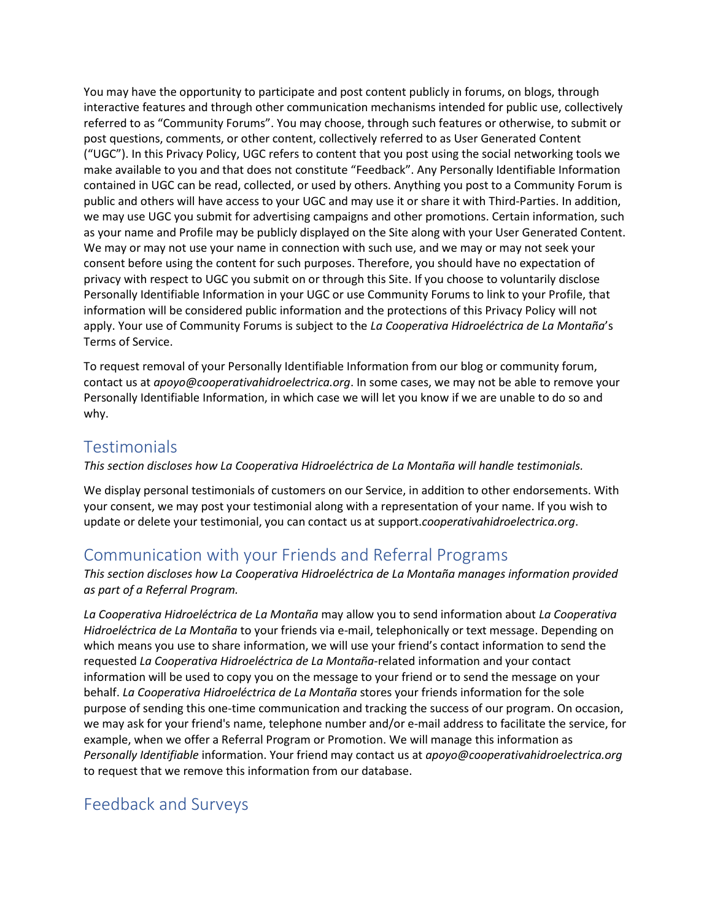You may have the opportunity to participate and post content publicly in forums, on blogs, through interactive features and through other communication mechanisms intended for public use, collectively referred to as "Community Forums". You may choose, through such features or otherwise, to submit or post questions, comments, or other content, collectively referred to as User Generated Content ("UGC"). In this Privacy Policy, UGC refers to content that you post using the social networking tools we make available to you and that does not constitute "Feedback". Any Personally Identifiable Information contained in UGC can be read, collected, or used by others. Anything you post to a Community Forum is public and others will have access to your UGC and may use it or share it with Third-Parties. In addition, we may use UGC you submit for advertising campaigns and other promotions. Certain information, such as your name and Profile may be publicly displayed on the Site along with your User Generated Content. We may or may not use your name in connection with such use, and we may or may not seek your consent before using the content for such purposes. Therefore, you should have no expectation of privacy with respect to UGC you submit on or through this Site. If you choose to voluntarily disclose Personally Identifiable Information in your UGC or use Community Forums to link to your Profile, that information will be considered public information and the protections of this Privacy Policy will not apply. Your use of Community Forums is subject to the *La Cooperativa Hidroeléctrica de La Montaña*'s Terms of Service.

To request removal of your Personally Identifiable Information from our blog or community forum, contact us at *apoyo@cooperativahidroelectrica.org*. In some cases, we may not be able to remove your Personally Identifiable Information, in which case we will let you know if we are unable to do so and why.

#### **Testimonials**

*This section discloses how La Cooperativa Hidroeléctrica de La Montaña will handle testimonials.*

We display personal testimonials of customers on our Service, in addition to other endorsements. With your consent, we may post your testimonial along with a representation of your name. If you wish to update or delete your testimonial, you can contact us at support.*cooperativahidroelectrica.org*.

#### Communication with your Friends and Referral Programs

*This section discloses how La Cooperativa Hidroeléctrica de La Montaña manages information provided as part of a Referral Program.*

*La Cooperativa Hidroeléctrica de La Montaña* may allow you to send information about *La Cooperativa Hidroeléctrica de La Montaña* to your friends via e-mail, telephonically or text message. Depending on which means you use to share information, we will use your friend's contact information to send the requested *La Cooperativa Hidroeléctrica de La Montaña*-related information and your contact information will be used to copy you on the message to your friend or to send the message on your behalf. *La Cooperativa Hidroeléctrica de La Montaña* stores your friends information for the sole purpose of sending this one-time communication and tracking the success of our program. On occasion, we may ask for your friend's name, telephone number and/or e-mail address to facilitate the service, for example, when we offer a Referral Program or Promotion. We will manage this information as *Personally Identifiable* information. Your friend may contact us at *apoyo@cooperativahidroelectrica.org* to request that we remove this information from our database.

## Feedback and Surveys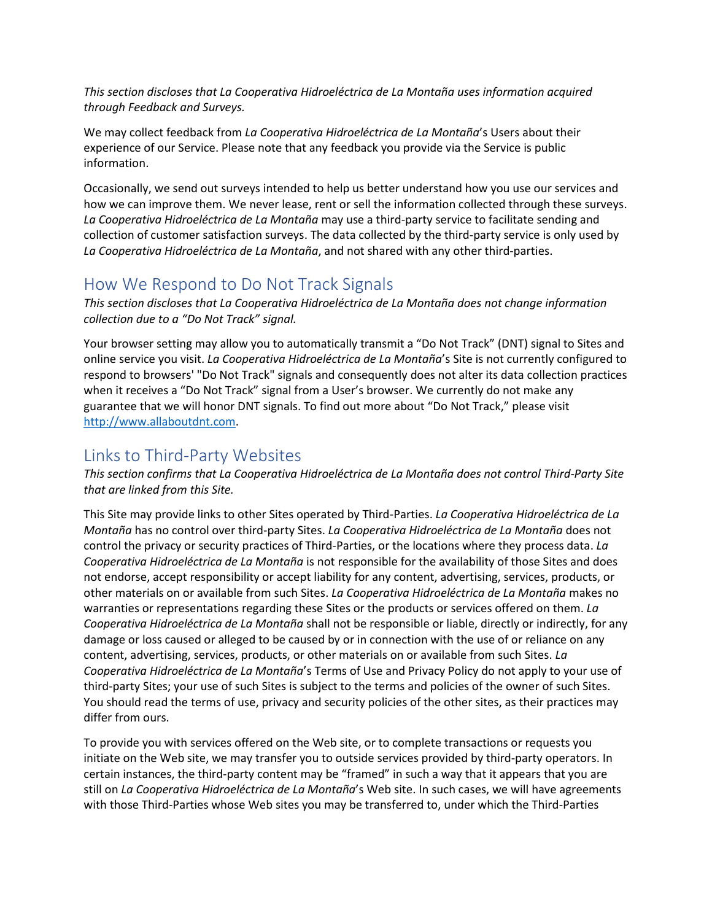*This section discloses that La Cooperativa Hidroeléctrica de La Montaña uses information acquired through Feedback and Surveys.*

We may collect feedback from *La Cooperativa Hidroeléctrica de La Montaña*'s Users about their experience of our Service. Please note that any feedback you provide via the Service is public information.

Occasionally, we send out surveys intended to help us better understand how you use our services and how we can improve them. We never lease, rent or sell the information collected through these surveys. *La Cooperativa Hidroeléctrica de La Montaña* may use a third-party service to facilitate sending and collection of customer satisfaction surveys. The data collected by the third-party service is only used by *La Cooperativa Hidroeléctrica de La Montaña*, and not shared with any other third-parties.

#### How We Respond to Do Not Track Signals

*This section discloses that La Cooperativa Hidroeléctrica de La Montaña does not change information collection due to a "Do Not Track" signal.*

Your browser setting may allow you to automatically transmit a "Do Not Track" (DNT) signal to Sites and online service you visit. *La Cooperativa Hidroeléctrica de La Montaña*'s Site is not currently configured to respond to browsers' "Do Not Track" signals and consequently does not alter its data collection practices when it receives a "Do Not Track" signal from a User's browser. We currently do not make any guarantee that we will honor DNT signals. To find out more about "Do Not Track," please visit [http://www.allaboutdnt.com.](http://www.allaboutdnt.com/)

#### Links to Third-Party Websites

*This section confirms that La Cooperativa Hidroeléctrica de La Montaña does not control Third-Party Site that are linked from this Site.*

This Site may provide links to other Sites operated by Third-Parties. *La Cooperativa Hidroeléctrica de La Montaña* has no control over third-party Sites. *La Cooperativa Hidroeléctrica de La Montaña* does not control the privacy or security practices of Third-Parties, or the locations where they process data. *La Cooperativa Hidroeléctrica de La Montaña* is not responsible for the availability of those Sites and does not endorse, accept responsibility or accept liability for any content, advertising, services, products, or other materials on or available from such Sites. *La Cooperativa Hidroeléctrica de La Montaña* makes no warranties or representations regarding these Sites or the products or services offered on them. *La Cooperativa Hidroeléctrica de La Montaña* shall not be responsible or liable, directly or indirectly, for any damage or loss caused or alleged to be caused by or in connection with the use of or reliance on any content, advertising, services, products, or other materials on or available from such Sites. *La Cooperativa Hidroeléctrica de La Montaña*'s Terms of Use and Privacy Policy do not apply to your use of third-party Sites; your use of such Sites is subject to the terms and policies of the owner of such Sites. You should read the terms of use, privacy and security policies of the other sites, as their practices may differ from ours.

To provide you with services offered on the Web site, or to complete transactions or requests you initiate on the Web site, we may transfer you to outside services provided by third-party operators. In certain instances, the third-party content may be "framed" in such a way that it appears that you are still on *La Cooperativa Hidroeléctrica de La Montaña*'s Web site. In such cases, we will have agreements with those Third-Parties whose Web sites you may be transferred to, under which the Third-Parties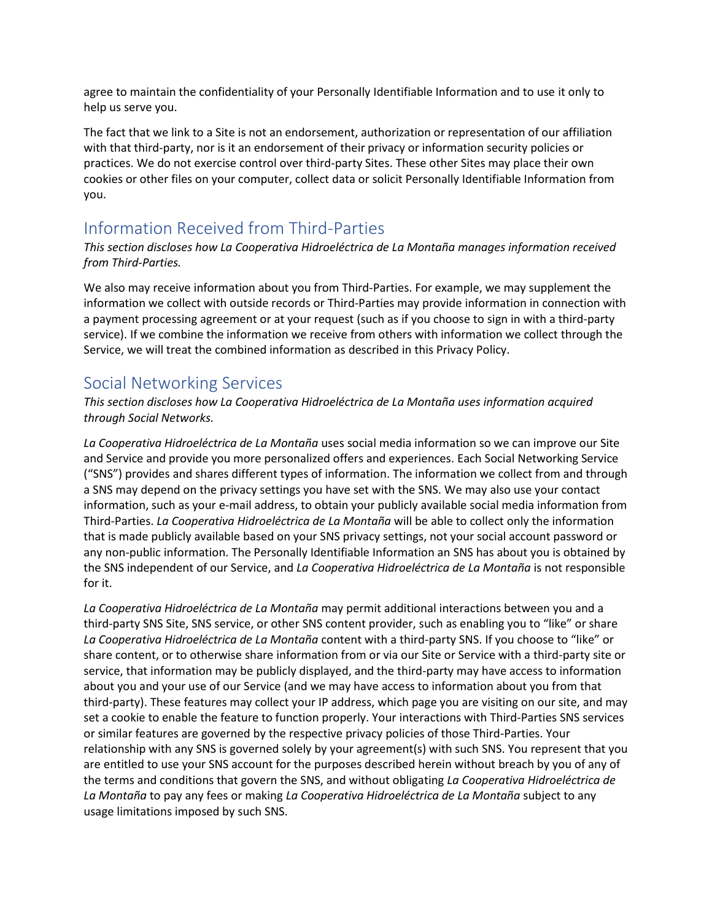agree to maintain the confidentiality of your Personally Identifiable Information and to use it only to help us serve you.

The fact that we link to a Site is not an endorsement, authorization or representation of our affiliation with that third-party, nor is it an endorsement of their privacy or information security policies or practices. We do not exercise control over third-party Sites. These other Sites may place their own cookies or other files on your computer, collect data or solicit Personally Identifiable Information from you.

## Information Received from Third-Parties

#### *This section discloses how La Cooperativa Hidroeléctrica de La Montaña manages information received from Third-Parties.*

We also may receive information about you from Third-Parties. For example, we may supplement the information we collect with outside records or Third-Parties may provide information in connection with a payment processing agreement or at your request (such as if you choose to sign in with a third-party service). If we combine the information we receive from others with information we collect through the Service, we will treat the combined information as described in this Privacy Policy.

# Social Networking Services

*This section discloses how La Cooperativa Hidroeléctrica de La Montaña uses information acquired through Social Networks.*

*La Cooperativa Hidroeléctrica de La Montaña* uses social media information so we can improve our Site and Service and provide you more personalized offers and experiences. Each Social Networking Service ("SNS") provides and shares different types of information. The information we collect from and through a SNS may depend on the privacy settings you have set with the SNS. We may also use your contact information, such as your e-mail address, to obtain your publicly available social media information from Third-Parties. *La Cooperativa Hidroeléctrica de La Montaña* will be able to collect only the information that is made publicly available based on your SNS privacy settings, not your social account password or any non-public information. The Personally Identifiable Information an SNS has about you is obtained by the SNS independent of our Service, and *La Cooperativa Hidroeléctrica de La Montaña* is not responsible for it.

*La Cooperativa Hidroeléctrica de La Montaña* may permit additional interactions between you and a third-party SNS Site, SNS service, or other SNS content provider, such as enabling you to "like" or share *La Cooperativa Hidroeléctrica de La Montaña* content with a third-party SNS. If you choose to "like" or share content, or to otherwise share information from or via our Site or Service with a third-party site or service, that information may be publicly displayed, and the third-party may have access to information about you and your use of our Service (and we may have access to information about you from that third-party). These features may collect your IP address, which page you are visiting on our site, and may set a cookie to enable the feature to function properly. Your interactions with Third-Parties SNS services or similar features are governed by the respective privacy policies of those Third-Parties. Your relationship with any SNS is governed solely by your agreement(s) with such SNS. You represent that you are entitled to use your SNS account for the purposes described herein without breach by you of any of the terms and conditions that govern the SNS, and without obligating *La Cooperativa Hidroeléctrica de La Montaña* to pay any fees or making *La Cooperativa Hidroeléctrica de La Montaña* subject to any usage limitations imposed by such SNS.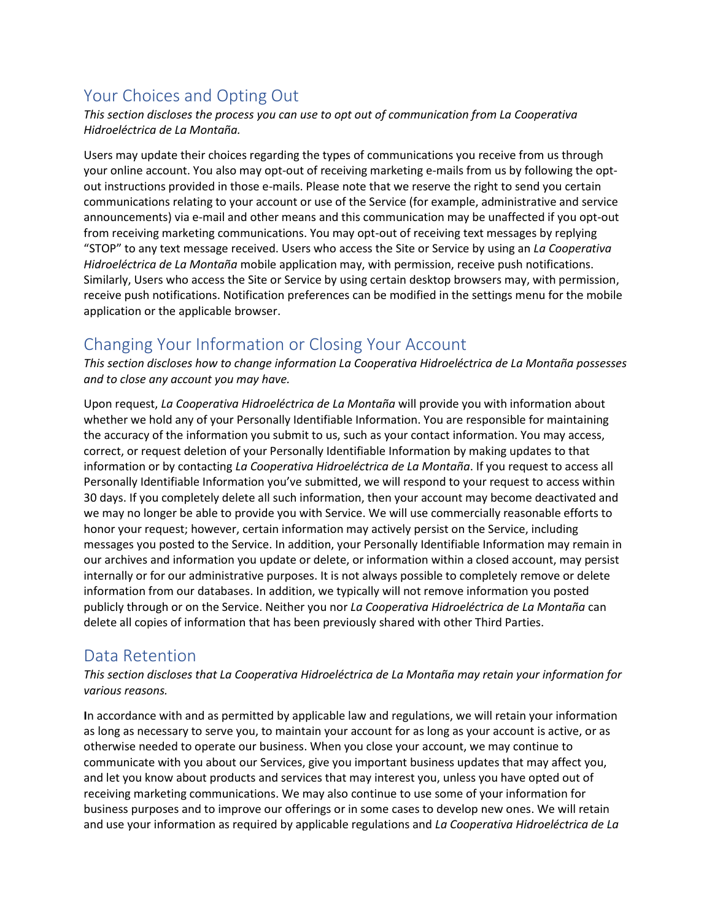# Your Choices and Opting Out

*This section discloses the process you can use to opt out of communication from La Cooperativa Hidroeléctrica de La Montaña.*

Users may update their choices regarding the types of communications you receive from us through your online account. You also may opt-out of receiving marketing e-mails from us by following the optout instructions provided in those e-mails. Please note that we reserve the right to send you certain communications relating to your account or use of the Service (for example, administrative and service announcements) via e-mail and other means and this communication may be unaffected if you opt-out from receiving marketing communications. You may opt-out of receiving text messages by replying "STOP" to any text message received. Users who access the Site or Service by using an *La Cooperativa Hidroeléctrica de La Montaña* mobile application may, with permission, receive push notifications. Similarly, Users who access the Site or Service by using certain desktop browsers may, with permission, receive push notifications. Notification preferences can be modified in the settings menu for the mobile application or the applicable browser.

## Changing Your Information or Closing Your Account

*This section discloses how to change information La Cooperativa Hidroeléctrica de La Montaña possesses and to close any account you may have.*

Upon request, *La Cooperativa Hidroeléctrica de La Montaña* will provide you with information about whether we hold any of your Personally Identifiable Information. You are responsible for maintaining the accuracy of the information you submit to us, such as your contact information. You may access, correct, or request deletion of your Personally Identifiable Information by making updates to that information or by contacting *La Cooperativa Hidroeléctrica de La Montaña*. If you request to access all Personally Identifiable Information you've submitted, we will respond to your request to access within 30 days. If you completely delete all such information, then your account may become deactivated and we may no longer be able to provide you with Service. We will use commercially reasonable efforts to honor your request; however, certain information may actively persist on the Service, including messages you posted to the Service. In addition, your Personally Identifiable Information may remain in our archives and information you update or delete, or information within a closed account, may persist internally or for our administrative purposes. It is not always possible to completely remove or delete information from our databases. In addition, we typically will not remove information you posted publicly through or on the Service. Neither you nor *La Cooperativa Hidroeléctrica de La Montaña* can delete all copies of information that has been previously shared with other Third Parties.

#### Data Retention

*This section discloses that La Cooperativa Hidroeléctrica de La Montaña may retain your information for various reasons.*

**I**n accordance with and as permitted by applicable law and regulations, we will retain your information as long as necessary to serve you, to maintain your account for as long as your account is active, or as otherwise needed to operate our business. When you close your account, we may continue to communicate with you about our Services, give you important business updates that may affect you, and let you know about products and services that may interest you, unless you have opted out of receiving marketing communications. We may also continue to use some of your information for business purposes and to improve our offerings or in some cases to develop new ones. We will retain and use your information as required by applicable regulations and *La Cooperativa Hidroeléctrica de La*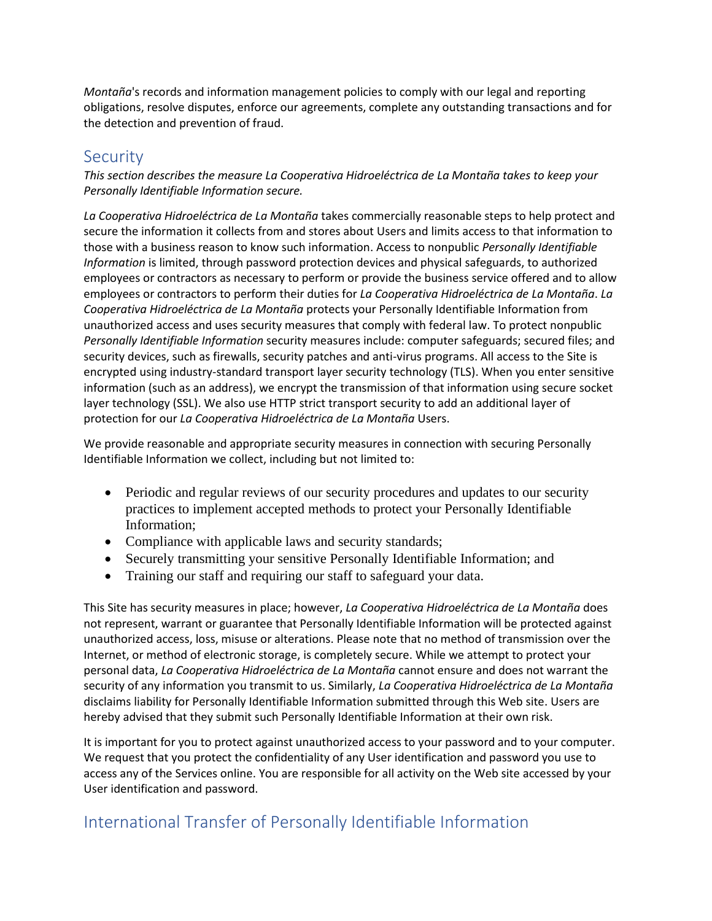*Montaña*'s records and information management policies to comply with our legal and reporting obligations, resolve disputes, enforce our agreements, complete any outstanding transactions and for the detection and prevention of fraud.

#### **Security**

*This section describes the measure La Cooperativa Hidroeléctrica de La Montaña takes to keep your Personally Identifiable Information secure.*

*La Cooperativa Hidroeléctrica de La Montaña* takes commercially reasonable steps to help protect and secure the information it collects from and stores about Users and limits access to that information to those with a business reason to know such information. Access to nonpublic *Personally Identifiable Information* is limited, through password protection devices and physical safeguards, to authorized employees or contractors as necessary to perform or provide the business service offered and to allow employees or contractors to perform their duties for *La Cooperativa Hidroeléctrica de La Montaña*. *La Cooperativa Hidroeléctrica de La Montaña* protects your Personally Identifiable Information from unauthorized access and uses security measures that comply with federal law. To protect nonpublic *Personally Identifiable Information* security measures include: computer safeguards; secured files; and security devices, such as firewalls, security patches and anti-virus programs. All access to the Site is encrypted using industry-standard transport layer security technology (TLS). When you enter sensitive information (such as an address), we encrypt the transmission of that information using secure socket layer technology (SSL). We also use HTTP strict transport security to add an additional layer of protection for our *La Cooperativa Hidroeléctrica de La Montaña* Users.

We provide reasonable and appropriate security measures in connection with securing Personally Identifiable Information we collect, including but not limited to:

- Periodic and regular reviews of our security procedures and updates to our security practices to implement accepted methods to protect your Personally Identifiable Information;
- Compliance with applicable laws and security standards;
- Securely transmitting your sensitive Personally Identifiable Information; and
- Training our staff and requiring our staff to safeguard your data.

This Site has security measures in place; however, *La Cooperativa Hidroeléctrica de La Montaña* does not represent, warrant or guarantee that Personally Identifiable Information will be protected against unauthorized access, loss, misuse or alterations. Please note that no method of transmission over the Internet, or method of electronic storage, is completely secure. While we attempt to protect your personal data, *La Cooperativa Hidroeléctrica de La Montaña* cannot ensure and does not warrant the security of any information you transmit to us. Similarly, *La Cooperativa Hidroeléctrica de La Montaña* disclaims liability for Personally Identifiable Information submitted through this Web site. Users are hereby advised that they submit such Personally Identifiable Information at their own risk.

It is important for you to protect against unauthorized access to your password and to your computer. We request that you protect the confidentiality of any User identification and password you use to access any of the Services online. You are responsible for all activity on the Web site accessed by your User identification and password.

# International Transfer of Personally Identifiable Information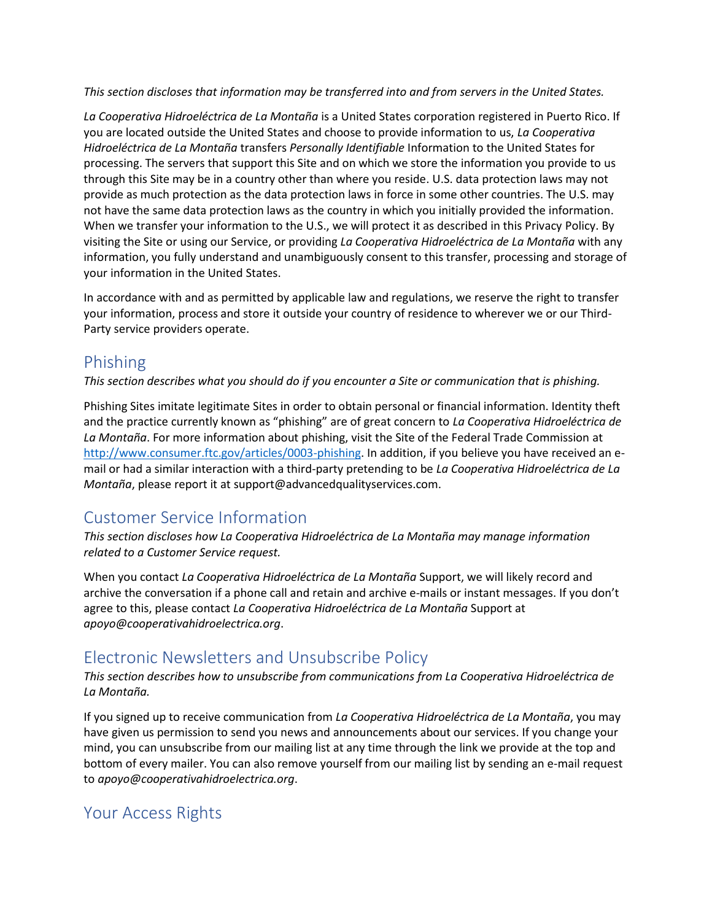*This section discloses that information may be transferred into and from servers in the United States.*

*La Cooperativa Hidroeléctrica de La Montaña* is a United States corporation registered in Puerto Rico. If you are located outside the United States and choose to provide information to us, *La Cooperativa Hidroeléctrica de La Montaña* transfers *Personally Identifiable* Information to the United States for processing. The servers that support this Site and on which we store the information you provide to us through this Site may be in a country other than where you reside. U.S. data protection laws may not provide as much protection as the data protection laws in force in some other countries. The U.S. may not have the same data protection laws as the country in which you initially provided the information. When we transfer your information to the U.S., we will protect it as described in this Privacy Policy. By visiting the Site or using our Service, or providing *La Cooperativa Hidroeléctrica de La Montaña* with any information, you fully understand and unambiguously consent to this transfer, processing and storage of your information in the United States.

In accordance with and as permitted by applicable law and regulations, we reserve the right to transfer your information, process and store it outside your country of residence to wherever we or our Third-Party service providers operate.

#### Phishing

*This section describes what you should do if you encounter a Site or communication that is phishing.*

Phishing Sites imitate legitimate Sites in order to obtain personal or financial information. Identity theft and the practice currently known as "phishing" are of great concern to *La Cooperativa Hidroeléctrica de La Montaña*. For more information about phishing, visit the Site of the Federal Trade Commission at [http://www.consumer.ftc.gov/articles/0003-phishing.](http://www.consumer.ftc.gov/articles/0003-phishing) In addition, if you believe you have received an email or had a similar interaction with a third-party pretending to be *La Cooperativa Hidroeléctrica de La Montaña*, please report it at support@advancedqualityservices.com.

# Customer Service Information

*This section discloses how La Cooperativa Hidroeléctrica de La Montaña may manage information related to a Customer Service request.*

When you contact *La Cooperativa Hidroeléctrica de La Montaña* Support, we will likely record and archive the conversation if a phone call and retain and archive e-mails or instant messages. If you don't agree to this, please contact *La Cooperativa Hidroeléctrica de La Montaña* Support at *apoyo@cooperativahidroelectrica.org*.

# Electronic Newsletters and Unsubscribe Policy

*This section describes how to unsubscribe from communications from La Cooperativa Hidroeléctrica de La Montaña.*

If you signed up to receive communication from *La Cooperativa Hidroeléctrica de La Montaña*, you may have given us permission to send you news and announcements about our services. If you change your mind, you can unsubscribe from our mailing list at any time through the link we provide at the top and bottom of every mailer. You can also remove yourself from our mailing list by sending an e-mail request to *apoyo@cooperativahidroelectrica.org*.

# Your Access Rights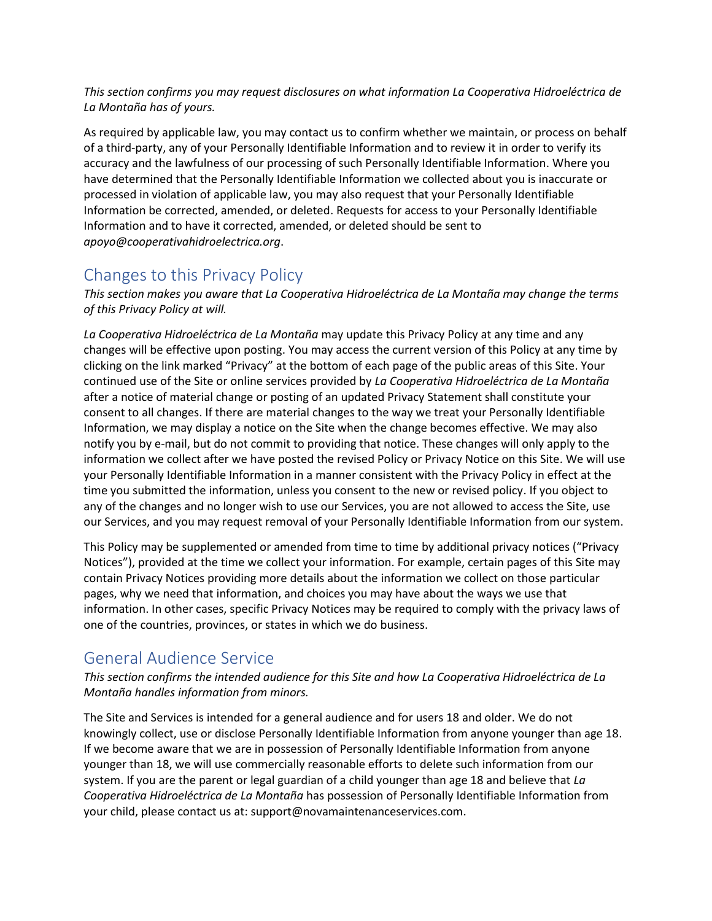*This section confirms you may request disclosures on what information La Cooperativa Hidroeléctrica de La Montaña has of yours.*

As required by applicable law, you may contact us to confirm whether we maintain, or process on behalf of a third-party, any of your Personally Identifiable Information and to review it in order to verify its accuracy and the lawfulness of our processing of such Personally Identifiable Information. Where you have determined that the Personally Identifiable Information we collected about you is inaccurate or processed in violation of applicable law, you may also request that your Personally Identifiable Information be corrected, amended, or deleted. Requests for access to your Personally Identifiable Information and to have it corrected, amended, or deleted should be sent to *apoyo@cooperativahidroelectrica.org*.

## Changes to this Privacy Policy

*This section makes you aware that La Cooperativa Hidroeléctrica de La Montaña may change the terms of this Privacy Policy at will.*

*La Cooperativa Hidroeléctrica de La Montaña* may update this Privacy Policy at any time and any changes will be effective upon posting. You may access the current version of this Policy at any time by clicking on the link marked "Privacy" at the bottom of each page of the public areas of this Site. Your continued use of the Site or online services provided by *La Cooperativa Hidroeléctrica de La Montaña* after a notice of material change or posting of an updated Privacy Statement shall constitute your consent to all changes. If there are material changes to the way we treat your Personally Identifiable Information, we may display a notice on the Site when the change becomes effective. We may also notify you by e-mail, but do not commit to providing that notice. These changes will only apply to the information we collect after we have posted the revised Policy or Privacy Notice on this Site. We will use your Personally Identifiable Information in a manner consistent with the Privacy Policy in effect at the time you submitted the information, unless you consent to the new or revised policy. If you object to any of the changes and no longer wish to use our Services, you are not allowed to access the Site, use our Services, and you may request removal of your Personally Identifiable Information from our system.

This Policy may be supplemented or amended from time to time by additional privacy notices ("Privacy Notices"), provided at the time we collect your information. For example, certain pages of this Site may contain Privacy Notices providing more details about the information we collect on those particular pages, why we need that information, and choices you may have about the ways we use that information. In other cases, specific Privacy Notices may be required to comply with the privacy laws of one of the countries, provinces, or states in which we do business.

## General Audience Service

*This section confirms the intended audience for this Site and how La Cooperativa Hidroeléctrica de La Montaña handles information from minors.*

The Site and Services is intended for a general audience and for users 18 and older. We do not knowingly collect, use or disclose Personally Identifiable Information from anyone younger than age 18. If we become aware that we are in possession of Personally Identifiable Information from anyone younger than 18, we will use commercially reasonable efforts to delete such information from our system. If you are the parent or legal guardian of a child younger than age 18 and believe that *La Cooperativa Hidroeléctrica de La Montaña* has possession of Personally Identifiable Information from your child, please contact us at: support@novamaintenanceservices.com.